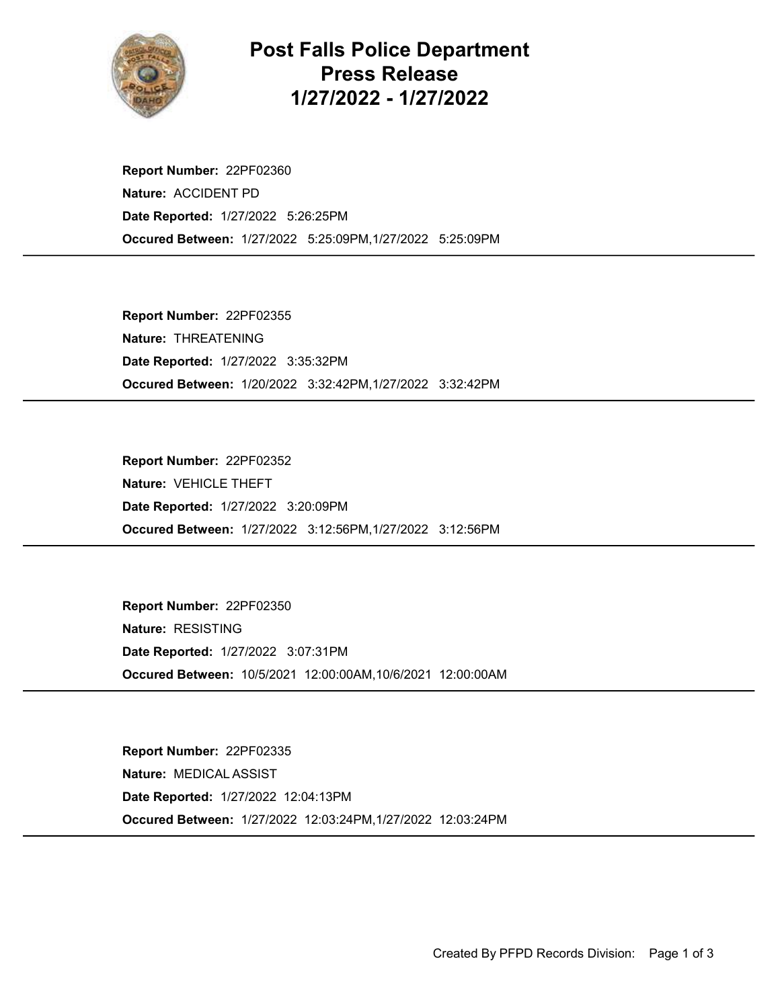

Post Falls Police Department Press Release 1/27/2022 - 1/27/2022

Occured Between: 1/27/2022 5:25:09PM,1/27/2022 5:25:09PM Report Number: 22PF02360 Nature: ACCIDENT PD Date Reported: 1/27/2022 5:26:25PM

Occured Between: 1/20/2022 3:32:42PM,1/27/2022 3:32:42PM Report Number: 22PF02355 Nature: THREATENING Date Reported: 1/27/2022 3:35:32PM

Occured Between: 1/27/2022 3:12:56PM,1/27/2022 3:12:56PM Report Number: 22PF02352 Nature: VEHICLE THEFT Date Reported: 1/27/2022 3:20:09PM

Occured Between: 10/5/2021 12:00:00AM,10/6/2021 12:00:00AM Report Number: 22PF02350 Nature: RESISTING Date Reported: 1/27/2022 3:07:31PM

Occured Between: 1/27/2022 12:03:24PM,1/27/2022 12:03:24PM Report Number: 22PF02335 Nature: MEDICAL ASSIST Date Reported: 1/27/2022 12:04:13PM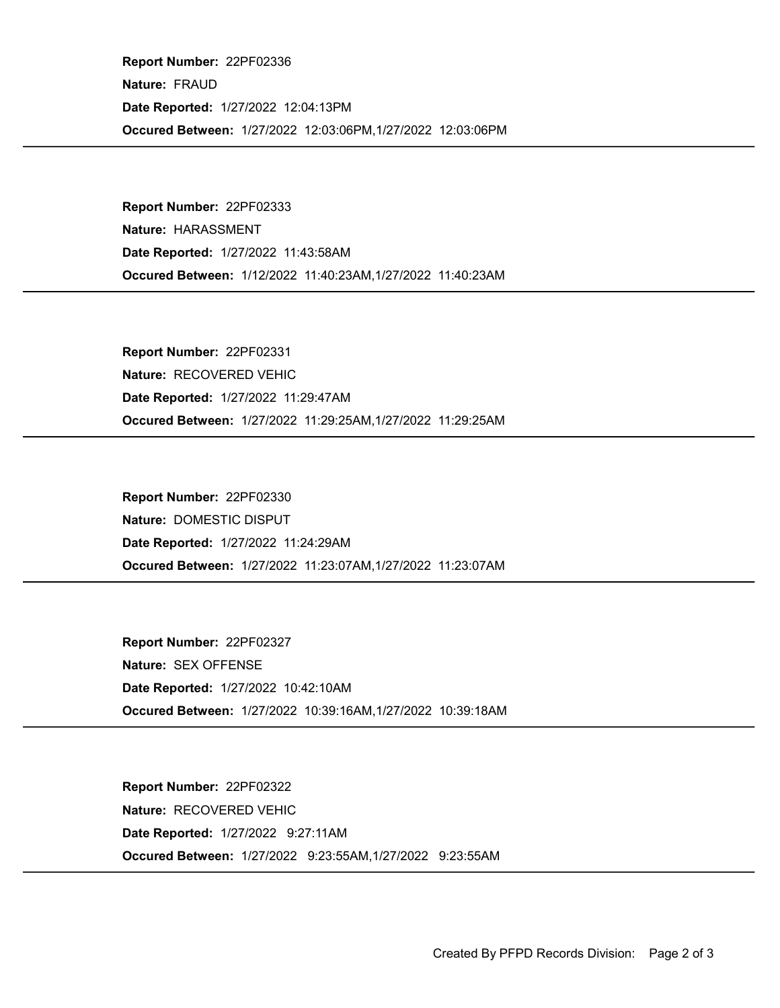Occured Between: 1/27/2022 12:03:06PM,1/27/2022 12:03:06PM Report Number: 22PF02336 Nature: FRAUD Date Reported: 1/27/2022 12:04:13PM

Occured Between: 1/12/2022 11:40:23AM,1/27/2022 11:40:23AM Report Number: 22PF02333 Nature: HARASSMENT Date Reported: 1/27/2022 11:43:58AM

Occured Between: 1/27/2022 11:29:25AM,1/27/2022 11:29:25AM Report Number: 22PF02331 Nature: RECOVERED VEHIC Date Reported: 1/27/2022 11:29:47AM

Occured Between: 1/27/2022 11:23:07AM,1/27/2022 11:23:07AM Report Number: 22PF02330 Nature: DOMESTIC DISPUT Date Reported: 1/27/2022 11:24:29AM

Occured Between: 1/27/2022 10:39:16AM,1/27/2022 10:39:18AM Report Number: 22PF02327 Nature: SEX OFFENSE Date Reported: 1/27/2022 10:42:10AM

Occured Between: 1/27/2022 9:23:55AM,1/27/2022 9:23:55AM Report Number: 22PF02322 Nature: RECOVERED VEHIC Date Reported: 1/27/2022 9:27:11AM